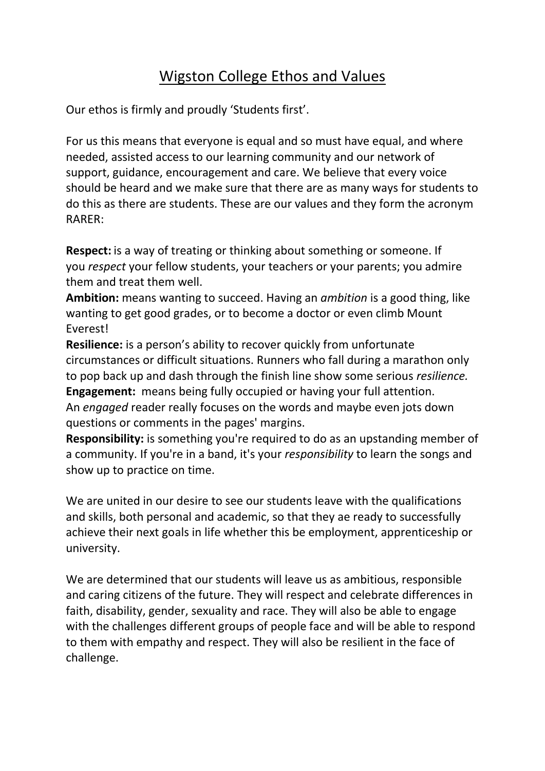## Wigston College Ethos and Values

Our ethos is firmly and proudly 'Students first'.

For us this means that everyone is equal and so must have equal, and where needed, assisted access to our learning community and our network of support, guidance, encouragement and care. We believe that every voice should be heard and we make sure that there are as many ways for students to do this as there are students. These are our values and they form the acronym RARER:

**Respect:** is a way of treating or thinking about something or someone. If you *respect* your fellow students, your teachers or your parents; you admire them and treat them well.

**Ambition:** means wanting to succeed. Having an *ambition* is a good thing, like wanting to get good grades, or to become a doctor or even climb Mount Everest!

**Resilience:** is a person's ability to recover quickly from unfortunate circumstances or difficult situations. Runners who fall during a marathon only to pop back up and dash through the finish line show some serious *resilience.* **Engagement:** means being fully occupied or having your full attention. An *engaged* reader really focuses on the words and maybe even jots down questions or comments in the pages' margins.

**Responsibility:** is something you're required to do as an upstanding member of a community. If you're in a band, it's your *responsibility* to learn the songs and show up to practice on time.

We are united in our desire to see our students leave with the qualifications and skills, both personal and academic, so that they ae ready to successfully achieve their next goals in life whether this be employment, apprenticeship or university.

We are determined that our students will leave us as ambitious, responsible and caring citizens of the future. They will respect and celebrate differences in faith, disability, gender, sexuality and race. They will also be able to engage with the challenges different groups of people face and will be able to respond to them with empathy and respect. They will also be resilient in the face of challenge.